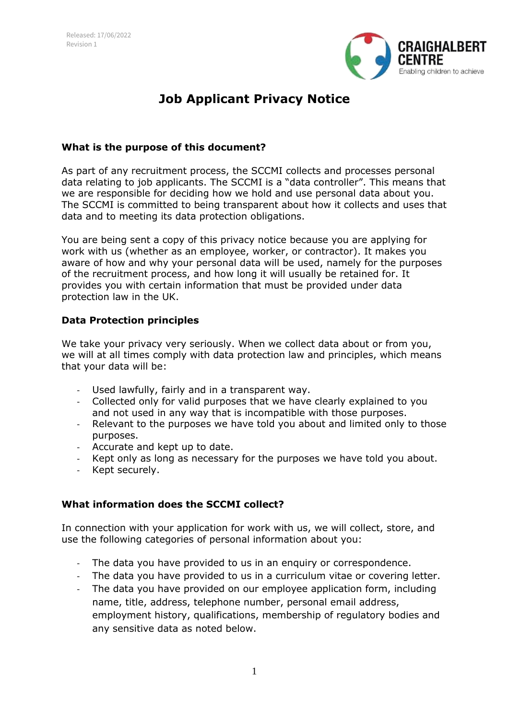

# **Job Applicant Privacy Notice**

## **What is the purpose of this document?**

As part of any recruitment process, the SCCMI collects and processes personal data relating to job applicants. The SCCMI is a "data controller". This means that we are responsible for deciding how we hold and use personal data about you. The SCCMI is committed to being transparent about how it collects and uses that data and to meeting its data protection obligations.

You are being sent a copy of this privacy notice because you are applying for work with us (whether as an employee, worker, or contractor). It makes you aware of how and why your personal data will be used, namely for the purposes of the recruitment process, and how long it will usually be retained for. It provides you with certain information that must be provided under data protection law in the UK.

## **Data Protection principles**

We take your privacy very seriously. When we collect data about or from you, we will at all times comply with data protection law and principles, which means that your data will be:

- Used lawfully, fairly and in a transparent way.
- Collected only for valid purposes that we have clearly explained to you and not used in any way that is incompatible with those purposes.
- Relevant to the purposes we have told you about and limited only to those purposes.
- Accurate and kept up to date.
- Kept only as long as necessary for the purposes we have told you about.
- Kept securely.

#### **What information does the SCCMI collect?**

In connection with your application for work with us, we will collect, store, and use the following categories of personal information about you:

- The data you have provided to us in an enquiry or correspondence.
- The data you have provided to us in a curriculum vitae or covering letter.
- The data you have provided on our employee application form, including name, title, address, telephone number, personal email address, employment history, qualifications, membership of regulatory bodies and any sensitive data as noted below.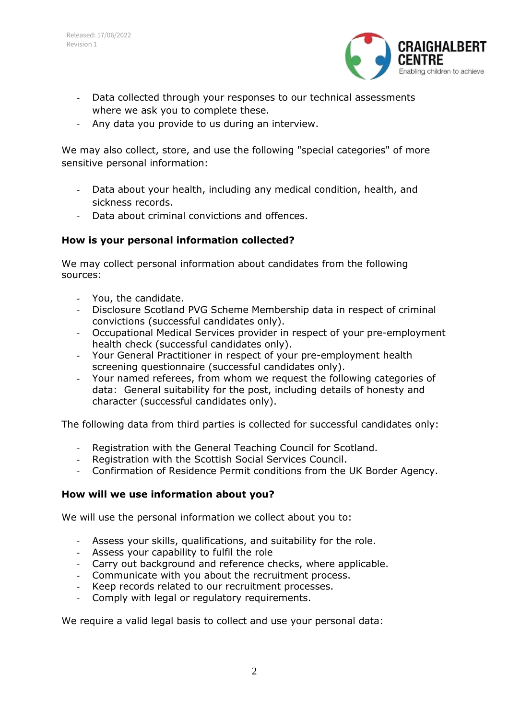

- Data collected through your responses to our technical assessments where we ask you to complete these.
- Any data you provide to us during an interview.

We may also collect, store, and use the following "special categories" of more sensitive personal information:

- Data about your health, including any medical condition, health, and sickness records.
- Data about criminal convictions and offences.

## **How is your personal information collected?**

We may collect personal information about candidates from the following sources:

- You, the candidate.
- Disclosure Scotland PVG Scheme Membership data in respect of criminal convictions (successful candidates only).
- Occupational Medical Services provider in respect of your pre-employment health check (successful candidates only).
- Your General Practitioner in respect of your pre-employment health screening questionnaire (successful candidates only).
- Your named referees, from whom we request the following categories of data: General suitability for the post, including details of honesty and character (successful candidates only).

The following data from third parties is collected for successful candidates only:

- Registration with the General Teaching Council for Scotland.
- Registration with the Scottish Social Services Council.
- Confirmation of Residence Permit conditions from the UK Border Agency.

#### **How will we use information about you?**

We will use the personal information we collect about you to:

- Assess your skills, qualifications, and suitability for the role.
- Assess your capability to fulfil the role
- Carry out background and reference checks, where applicable.
- Communicate with you about the recruitment process.
- Keep records related to our recruitment processes.
- Comply with legal or regulatory requirements.

We require a valid legal basis to collect and use your personal data: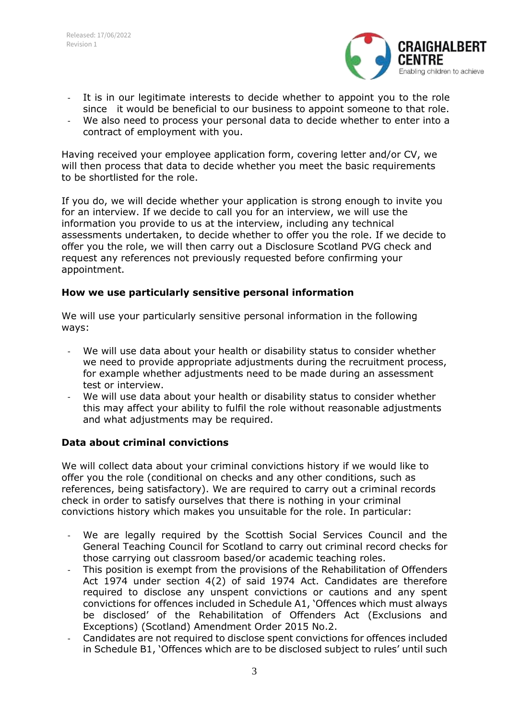

- It is in our legitimate interests to decide whether to appoint you to the role since it would be beneficial to our business to appoint someone to that role.
- We also need to process your personal data to decide whether to enter into a contract of employment with you.

Having received your employee application form, covering letter and/or CV, we will then process that data to decide whether you meet the basic requirements to be shortlisted for the role.

If you do, we will decide whether your application is strong enough to invite you for an interview. If we decide to call you for an interview, we will use the information you provide to us at the interview, including any technical assessments undertaken, to decide whether to offer you the role. If we decide to offer you the role, we will then carry out a Disclosure Scotland PVG check and request any references not previously requested before confirming your appointment.

## **How we use particularly sensitive personal information**

We will use your particularly sensitive personal information in the following ways:

- We will use data about your health or disability status to consider whether we need to provide appropriate adjustments during the recruitment process, for example whether adjustments need to be made during an assessment test or interview.
- We will use data about your health or disability status to consider whether this may affect your ability to fulfil the role without reasonable adjustments and what adjustments may be required.

# **Data about criminal convictions**

We will collect data about your criminal convictions history if we would like to offer you the role (conditional on checks and any other conditions, such as references, being satisfactory). We are required to carry out a criminal records check in order to satisfy ourselves that there is nothing in your criminal convictions history which makes you unsuitable for the role. In particular:

- We are legally required by the Scottish Social Services Council and the General Teaching Council for Scotland to carry out criminal record checks for those carrying out classroom based/or academic teaching roles.
- This position is exempt from the provisions of the Rehabilitation of Offenders Act 1974 under section 4(2) of said 1974 Act. Candidates are therefore required to disclose any unspent convictions or cautions and any spent convictions for offences included in Schedule A1, 'Offences which must always be disclosed' of the Rehabilitation of Offenders Act (Exclusions and Exceptions) (Scotland) Amendment Order 2015 No.2.
- Candidates are not required to disclose spent convictions for offences included in Schedule B1, 'Offences which are to be disclosed subject to rules' until such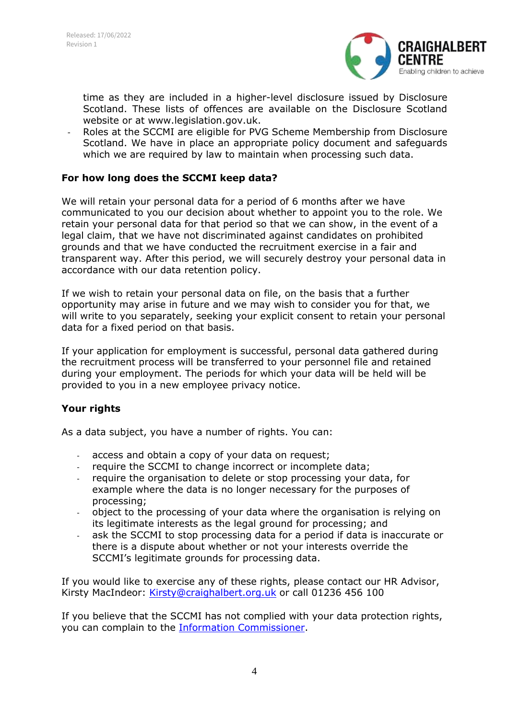

time as they are included in a higher-level disclosure issued by Disclosure Scotland. These lists of offences are available on the Disclosure Scotland website or at www.legislation.gov.uk.

- Roles at the SCCMI are eligible for PVG Scheme Membership from Disclosure Scotland. We have in place an appropriate policy document and safeguards which we are required by law to maintain when processing such data.

## **For how long does the SCCMI keep data?**

We will retain your personal data for a period of 6 months after we have communicated to you our decision about whether to appoint you to the role. We retain your personal data for that period so that we can show, in the event of a legal claim, that we have not discriminated against candidates on prohibited grounds and that we have conducted the recruitment exercise in a fair and transparent way. After this period, we will securely destroy your personal data in accordance with our data retention policy.

If we wish to retain your personal data on file, on the basis that a further opportunity may arise in future and we may wish to consider you for that, we will write to you separately, seeking your explicit consent to retain your personal data for a fixed period on that basis.

If your application for employment is successful, personal data gathered during the recruitment process will be transferred to your personnel file and retained during your employment. The periods for which your data will be held will be provided to you in a new employee privacy notice.

#### **Your rights**

As a data subject, you have a number of rights. You can:

- access and obtain a copy of your data on request;
- require the SCCMI to change incorrect or incomplete data;
- require the organisation to delete or stop processing your data, for example where the data is no longer necessary for the purposes of processing;
- object to the processing of your data where the organisation is relying on its legitimate interests as the legal ground for processing; and
- ask the SCCMI to stop processing data for a period if data is inaccurate or there is a dispute about whether or not your interests override the SCCMI's legitimate grounds for processing data.

If you would like to exercise any of these rights, please contact our HR Advisor, Kirsty MacIndeor: [Kirsty@craighalbert.org.uk](mailto:Kirsty@craighalbert.org.uk) or call 01236 456 100

If you believe that the SCCMI has not complied with your data protection rights, you can complain to the [Information Commissioner.](https://ico.org.uk/global/contact-us/)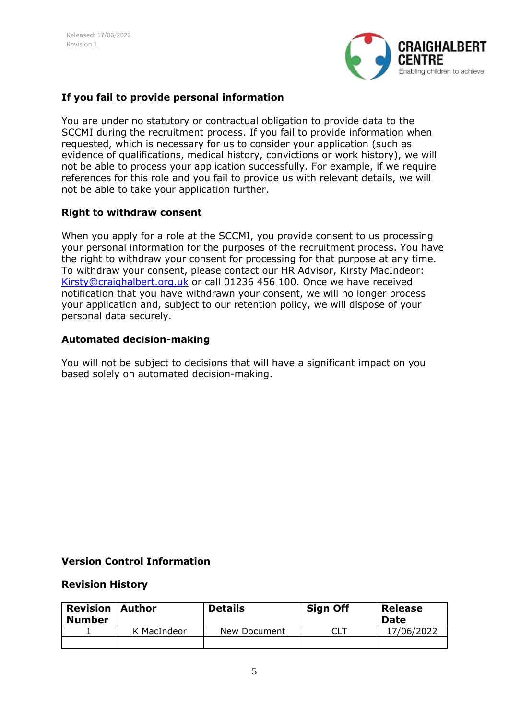

## **If you fail to provide personal information**

You are under no statutory or contractual obligation to provide data to the SCCMI during the recruitment process. If you fail to provide information when requested, which is necessary for us to consider your application (such as evidence of qualifications, medical history, convictions or work history), we will not be able to process your application successfully. For example, if we require references for this role and you fail to provide us with relevant details, we will not be able to take your application further.

#### **Right to withdraw consent**

When you apply for a role at the SCCMI, you provide consent to us processing your personal information for the purposes of the recruitment process. You have the right to withdraw your consent for processing for that purpose at any time. To withdraw your consent, please contact our HR Advisor, Kirsty MacIndeor: [Kirsty@craighalbert.org.uk](mailto:Kirsty@craighalbert.org.uk) or call 01236 456 100. Once we have received notification that you have withdrawn your consent, we will no longer process your application and, subject to our retention policy, we will dispose of your personal data securely.

#### **Automated decision-making**

You will not be subject to decisions that will have a significant impact on you based solely on automated decision-making.

#### **Version Control Information**

#### **Revision History**

| <b>Revision</b><br><b>Number</b> | l Author    | <b>Details</b> | <b>Sign Off</b> | <b>Release</b><br><b>Date</b> |
|----------------------------------|-------------|----------------|-----------------|-------------------------------|
|                                  | K MacIndeor | New Document   |                 | 17/06/2022                    |
|                                  |             |                |                 |                               |